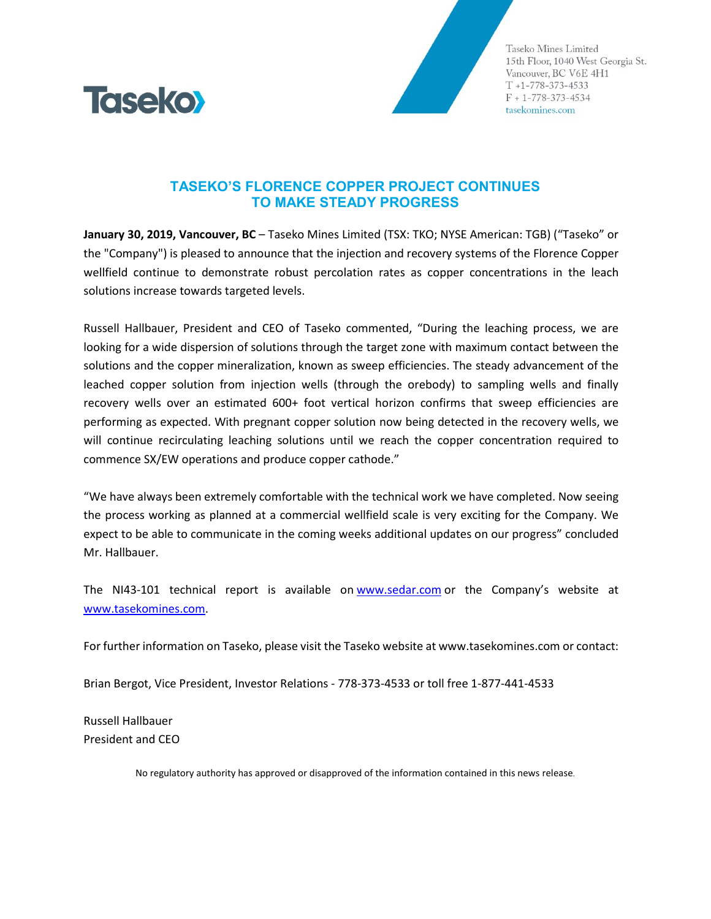

Taseko Mines Limited 15th Floor, 1040 West Georgia St. Vancouver, BC V6E 4H1  $T + 1 - 778 - 373 - 4533$  $F + 1 - 778 - 373 - 4534$ tasekomines.com

## **TASEKO'S FLORENCE COPPER PROJECT CONTINUES TO MAKE STEADY PROGRESS**

**January 30, 2019, Vancouver, BC** – Taseko Mines Limited (TSX: TKO; NYSE American: TGB) ("Taseko" or the "Company") is pleased to announce that the injection and recovery systems of the Florence Copper wellfield continue to demonstrate robust percolation rates as copper concentrations in the leach solutions increase towards targeted levels.

Russell Hallbauer, President and CEO of Taseko commented, "During the leaching process, we are looking for a wide dispersion of solutions through the target zone with maximum contact between the solutions and the copper mineralization, known as sweep efficiencies. The steady advancement of the leached copper solution from injection wells (through the orebody) to sampling wells and finally recovery wells over an estimated 600+ foot vertical horizon confirms that sweep efficiencies are performing as expected. With pregnant copper solution now being detected in the recovery wells, we will continue recirculating leaching solutions until we reach the copper concentration required to commence SX/EW operations and produce copper cathode."

"We have always been extremely comfortable with the technical work we have completed. Now seeing the process working as planned at a commercial wellfield scale is very exciting for the Company. We expect to be able to communicate in the coming weeks additional updates on our progress" concluded Mr. Hallbauer.

The NI43-101 technical report is available on [www.sedar.com](http://www.sedar.com/) or the Company's website at [www.tasekomines.com.](http://www.tasekomines.com/)

For further information on Taseko, please visit the Taseko website a[t www.tasekomines.com](http://www.tasekomines.com/) or contact:

Brian Bergot, Vice President, Investor Relations - 778-373-4533 or toll free 1-877-441-4533

Russell Hallbauer President and CEO

No regulatory authority has approved or disapproved of the information contained in this news release.